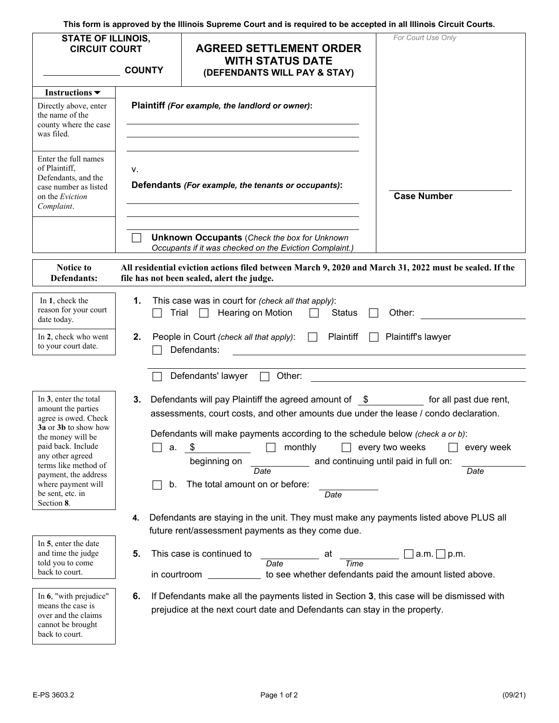**This form is approved by the Illinois Supreme Court and is required to be accepted in all Illinois Circuit Courts.** 

| <b>STATE OF ILLINOIS,</b><br><b>CIRCUIT COURT</b>                                                                                                                                                                                                                  | <b>COUNTY</b>                                                                                                                                                                                                                                                                                                                                                                                                                          | <b>AGREED SETTLEMENT ORDER</b><br><b>WITH STATUS DATE</b><br>(DEFENDANTS WILL PAY & STAY)                                                                                                                                | For Court Use Only                                                          |
|--------------------------------------------------------------------------------------------------------------------------------------------------------------------------------------------------------------------------------------------------------------------|----------------------------------------------------------------------------------------------------------------------------------------------------------------------------------------------------------------------------------------------------------------------------------------------------------------------------------------------------------------------------------------------------------------------------------------|--------------------------------------------------------------------------------------------------------------------------------------------------------------------------------------------------------------------------|-----------------------------------------------------------------------------|
| Instructions $\blacktriangledown$<br>Directly above, enter<br>the name of the<br>county where the case                                                                                                                                                             | Plaintiff (For example, the landlord or owner):                                                                                                                                                                                                                                                                                                                                                                                        |                                                                                                                                                                                                                          |                                                                             |
| was filed.<br>Enter the full names<br>of Plaintiff,<br>Defendants, and the<br>case number as listed<br>on the Eviction<br>Complaint.                                                                                                                               | ۷.<br>Defendants (For example, the tenants or occupants):                                                                                                                                                                                                                                                                                                                                                                              |                                                                                                                                                                                                                          | <b>Case Number</b>                                                          |
| Notice to                                                                                                                                                                                                                                                          |                                                                                                                                                                                                                                                                                                                                                                                                                                        | <b>Unknown Occupants</b> (Check the box for Unknown<br>Occupants if it was checked on the Eviction Complaint.)<br>All residential eviction actions filed between March 9, 2020 and March 31, 2022 must be sealed. If the |                                                                             |
| Defendants:                                                                                                                                                                                                                                                        |                                                                                                                                                                                                                                                                                                                                                                                                                                        | file has not been sealed, alert the judge.                                                                                                                                                                               |                                                                             |
| In 1, check the<br>reason for your court<br>date today.                                                                                                                                                                                                            | 1.<br>This case was in court for (check all that apply):<br>Trial $\Box$<br>Hearing on Motion<br><b>Status</b><br>Other:                                                                                                                                                                                                                                                                                                               |                                                                                                                                                                                                                          |                                                                             |
| In 2, check who went<br>to your court date.                                                                                                                                                                                                                        | People in Court (check all that apply):<br>Plaintiff's lawyer<br>2.<br>Plaintiff<br>$\Box$<br>Defendants:                                                                                                                                                                                                                                                                                                                              |                                                                                                                                                                                                                          |                                                                             |
|                                                                                                                                                                                                                                                                    |                                                                                                                                                                                                                                                                                                                                                                                                                                        | Defendants' lawyer<br>Other:                                                                                                                                                                                             |                                                                             |
| In 3, enter the total<br>amount the parties<br>agree is owed. Check<br>3a or 3b to show how<br>the money will be<br>paid back. Include<br>any other agreed<br>terms like method of<br>payment, the address<br>where payment will<br>be sent, etc. in<br>Section 8. | Defendants will pay Plaintiff the agreed amount of \$ for all past due rent,<br>3.<br>assessments, court costs, and other amounts due under the lease / condo declaration.<br>Defendants will make payments according to the schedule below (check a or b):<br>monthly<br>every two weeks<br>every week<br>a.<br>and continuing until paid in full on:<br>beginning on<br>Date<br>Date<br>The total amount on or before:<br>b.<br>Date |                                                                                                                                                                                                                          |                                                                             |
|                                                                                                                                                                                                                                                                    | Defendants are staying in the unit. They must make any payments listed above PLUS all<br>4.<br>future rent/assessment payments as they come due.                                                                                                                                                                                                                                                                                       |                                                                                                                                                                                                                          |                                                                             |
| In 5, enter the date<br>and time the judge<br>told you to come<br>back to court.                                                                                                                                                                                   | 5.<br>in courtroom                                                                                                                                                                                                                                                                                                                                                                                                                     | This case is continued to<br>at<br>Time<br>Date                                                                                                                                                                          | $a.m. \Box p.m.$<br>to see whether defendants paid the amount listed above. |
| In 6, "with prejudice"<br>means the case is<br>over and the claims<br>cannot be brought<br>back to court.                                                                                                                                                          | 6.<br>If Defendants make all the payments listed in Section 3, this case will be dismissed with<br>prejudice at the next court date and Defendants can stay in the property.                                                                                                                                                                                                                                                           |                                                                                                                                                                                                                          |                                                                             |